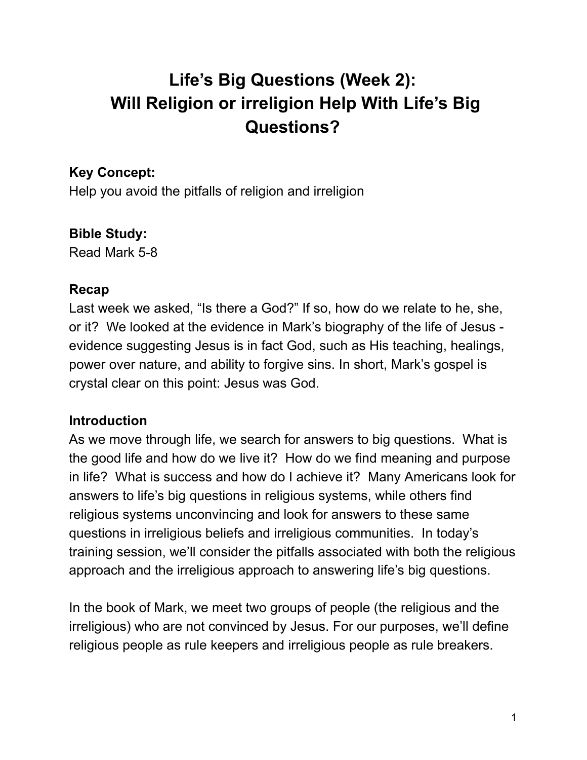# **Life's Big Questions (Week 2): Will Religion or irreligion Help With Life's Big Questions?**

# **Key Concept:**

Help you avoid the pitfalls of religion and irreligion

# **Bible Study:**

Read Mark 5-8

## **Recap**

Last week we asked, "Is there a God?" If so, how do we relate to he, she, or it? We looked at the evidence in Mark's biography of the life of Jesus evidence suggesting Jesus is in fact God, such as His teaching, healings, power over nature, and ability to forgive sins. In short, Mark's gospel is crystal clear on this point: Jesus was God.

# **Introduction**

As we move through life, we search for answers to big questions. What is the good life and how do we live it? How do we find meaning and purpose in life? What is success and how do I achieve it? Many Americans look for answers to life's big questions in religious systems, while others find religious systems unconvincing and look for answers to these same questions in irreligious beliefs and irreligious communities. In today's training session, we'll consider the pitfalls associated with both the religious approach and the irreligious approach to answering life's big questions.

In the book of Mark, we meet two groups of people (the religious and the irreligious) who are not convinced by Jesus. For our purposes, we'll define religious people as rule keepers and irreligious people as rule breakers.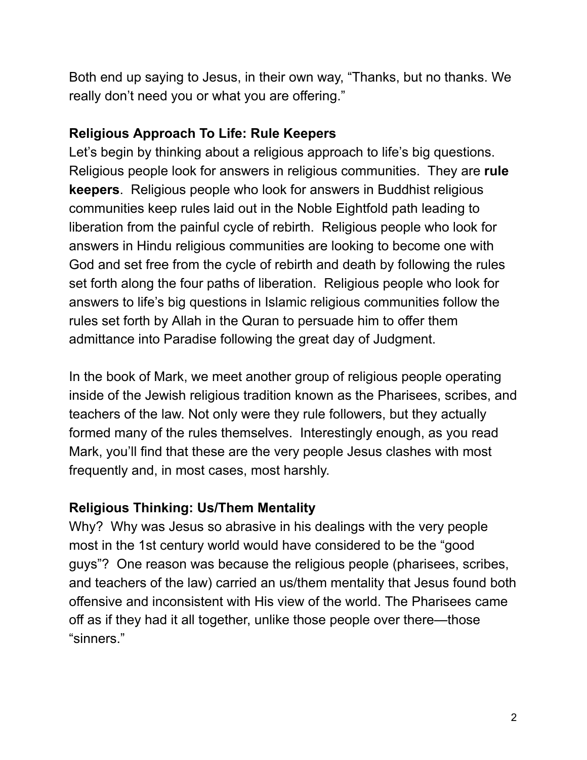Both end up saying to Jesus, in their own way, "Thanks, but no thanks. We really don't need you or what you are offering."

## **Religious Approach To Life: Rule Keepers**

Let's begin by thinking about a religious approach to life's big questions. Religious people look for answers in religious communities. They are **rule keepers**. Religious people who look for answers in Buddhist religious communities keep rules laid out in the Noble Eightfold path leading to liberation from the painful cycle of rebirth. Religious people who look for answers in Hindu religious communities are looking to become one with God and set free from the cycle of rebirth and death by following the rules set forth along the four paths of liberation. Religious people who look for answers to life's big questions in Islamic religious communities follow the rules set forth by Allah in the Quran to persuade him to offer them admittance into Paradise following the great day of Judgment.

In the book of Mark, we meet another group of religious people operating inside of the Jewish religious tradition known as the Pharisees, scribes, and teachers of the law. Not only were they rule followers, but they actually formed many of the rules themselves. Interestingly enough, as you read Mark, you'll find that these are the very people Jesus clashes with most frequently and, in most cases, most harshly.

# **Religious Thinking: Us/Them Mentality**

Why? Why was Jesus so abrasive in his dealings with the very people most in the 1st century world would have considered to be the "good guys"? One reason was because the religious people (pharisees, scribes, and teachers of the law) carried an us/them mentality that Jesus found both offensive and inconsistent with His view of the world. The Pharisees came off as if they had it all together, unlike those people over there—those "sinners."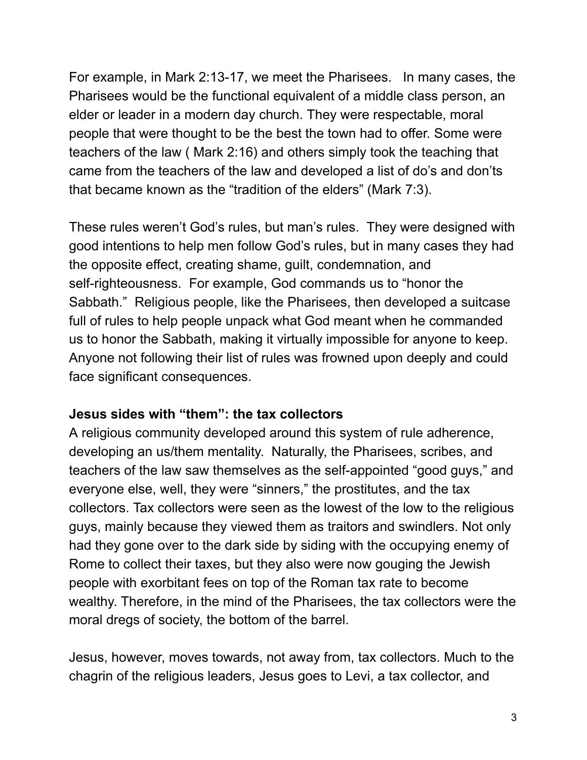For example, in Mark 2:13-17, we meet the Pharisees. In many cases, the Pharisees would be the functional equivalent of a middle class person, an elder or leader in a modern day church. They were respectable, moral people that were thought to be the best the town had to offer. Some were teachers of the law ( Mark 2:16) and others simply took the teaching that came from the teachers of the law and developed a list of do's and don'ts that became known as the "tradition of the elders" (Mark 7:3).

These rules weren't God's rules, but man's rules. They were designed with good intentions to help men follow God's rules, but in many cases they had the opposite effect, creating shame, guilt, condemnation, and self-righteousness. For example, God commands us to "honor the Sabbath." Religious people, like the Pharisees, then developed a suitcase full of rules to help people unpack what God meant when he commanded us to honor the Sabbath, making it virtually impossible for anyone to keep. Anyone not following their list of rules was frowned upon deeply and could face significant consequences.

#### **Jesus sides with "them": the tax collectors**

A religious community developed around this system of rule adherence, developing an us/them mentality. Naturally, the Pharisees, scribes, and teachers of the law saw themselves as the self-appointed "good guys," and everyone else, well, they were "sinners," the prostitutes, and the tax collectors. Tax collectors were seen as the lowest of the low to the religious guys, mainly because they viewed them as traitors and swindlers. Not only had they gone over to the dark side by siding with the occupying enemy of Rome to collect their taxes, but they also were now gouging the Jewish people with exorbitant fees on top of the Roman tax rate to become wealthy. Therefore, in the mind of the Pharisees, the tax collectors were the moral dregs of society, the bottom of the barrel.

Jesus, however, moves towards, not away from, tax collectors. Much to the chagrin of the religious leaders, Jesus goes to Levi, a tax collector, and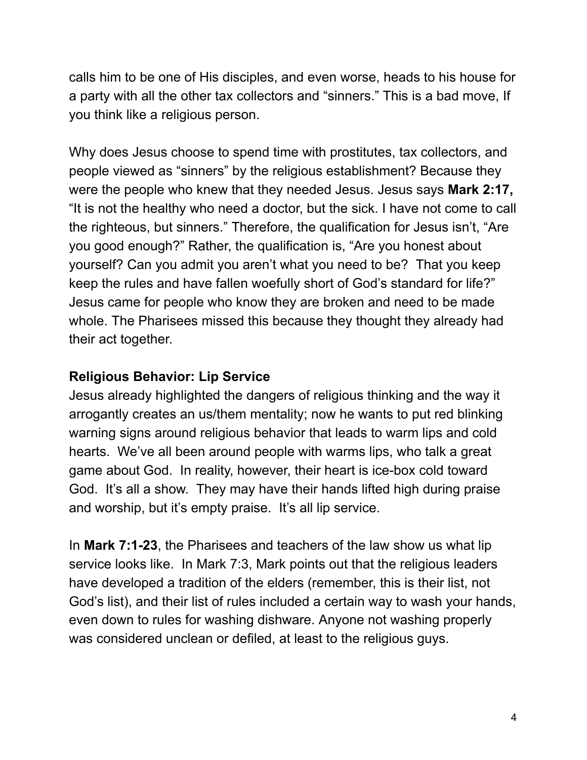calls him to be one of His disciples, and even worse, heads to his house for a party with all the other tax collectors and "sinners." This is a bad move, If you think like a religious person.

Why does Jesus choose to spend time with prostitutes, tax collectors, and people viewed as "sinners" by the religious establishment? Because they were the people who knew that they needed Jesus. Jesus says **Mark 2:17,** "It is not the healthy who need a doctor, but the sick. I have not come to call the righteous, but sinners." Therefore, the qualification for Jesus isn't, "Are you good enough?" Rather, the qualification is, "Are you honest about yourself? Can you admit you aren't what you need to be? That you keep keep the rules and have fallen woefully short of God's standard for life?" Jesus came for people who know they are broken and need to be made whole. The Pharisees missed this because they thought they already had their act together.

## **Religious Behavior: Lip Service**

Jesus already highlighted the dangers of religious thinking and the way it arrogantly creates an us/them mentality; now he wants to put red blinking warning signs around religious behavior that leads to warm lips and cold hearts. We've all been around people with warms lips, who talk a great game about God. In reality, however, their heart is ice-box cold toward God. It's all a show. They may have their hands lifted high during praise and worship, but it's empty praise. It's all lip service.

In **Mark 7:1-23**, the Pharisees and teachers of the law show us what lip service looks like. In Mark 7:3, Mark points out that the religious leaders have developed a tradition of the elders (remember, this is their list, not God's list), and their list of rules included a certain way to wash your hands, even down to rules for washing dishware. Anyone not washing properly was considered unclean or defiled, at least to the religious guys.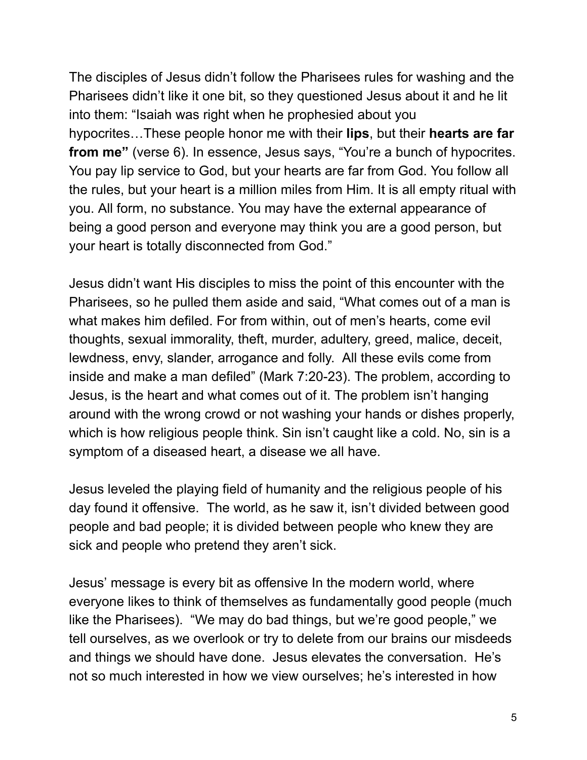The disciples of Jesus didn't follow the Pharisees rules for washing and the Pharisees didn't like it one bit, so they questioned Jesus about it and he lit into them: "Isaiah was right when he prophesied about you hypocrites…These people honor me with their **lips**, but their **hearts are far from me"** (verse 6). In essence, Jesus says, "You're a bunch of hypocrites. You pay lip service to God, but your hearts are far from God. You follow all the rules, but your heart is a million miles from Him. It is all empty ritual with you. All form, no substance. You may have the external appearance of being a good person and everyone may think you are a good person, but your heart is totally disconnected from God."

Jesus didn't want His disciples to miss the point of this encounter with the Pharisees, so he pulled them aside and said, "What comes out of a man is what makes him defiled. For from within, out of men's hearts, come evil thoughts, sexual immorality, theft, murder, adultery, greed, malice, deceit, lewdness, envy, slander, arrogance and folly. All these evils come from inside and make a man defiled" (Mark 7:20-23). The problem, according to Jesus, is the heart and what comes out of it. The problem isn't hanging around with the wrong crowd or not washing your hands or dishes properly, which is how religious people think. Sin isn't caught like a cold. No, sin is a symptom of a diseased heart, a disease we all have.

Jesus leveled the playing field of humanity and the religious people of his day found it offensive. The world, as he saw it, isn't divided between good people and bad people; it is divided between people who knew they are sick and people who pretend they aren't sick.

Jesus' message is every bit as offensive In the modern world, where everyone likes to think of themselves as fundamentally good people (much like the Pharisees). "We may do bad things, but we're good people," we tell ourselves, as we overlook or try to delete from our brains our misdeeds and things we should have done. Jesus elevates the conversation. He's not so much interested in how we view ourselves; he's interested in how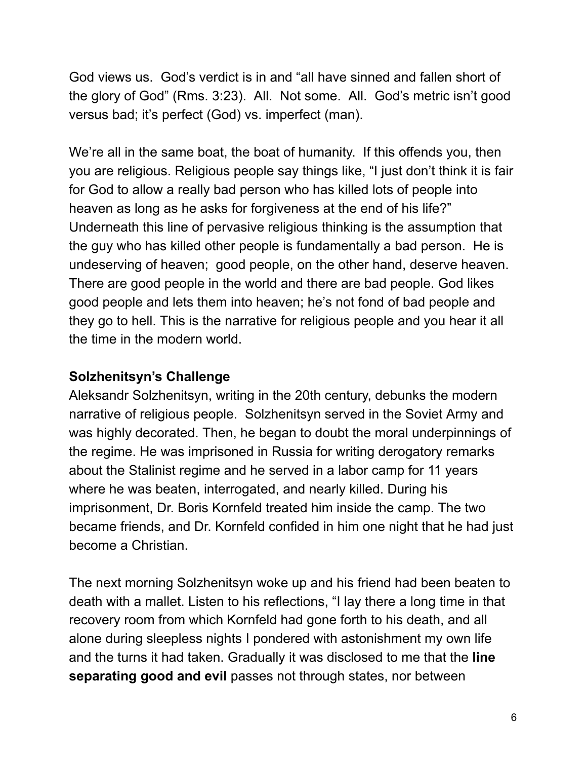God views us. God's verdict is in and "all have sinned and fallen short of the glory of God" (Rms. 3:23). All. Not some. All. God's metric isn't good versus bad; it's perfect (God) vs. imperfect (man).

We're all in the same boat, the boat of humanity. If this offends you, then you are religious. Religious people say things like, "I just don't think it is fair for God to allow a really bad person who has killed lots of people into heaven as long as he asks for forgiveness at the end of his life?" Underneath this line of pervasive religious thinking is the assumption that the guy who has killed other people is fundamentally a bad person. He is undeserving of heaven; good people, on the other hand, deserve heaven. There are good people in the world and there are bad people. God likes good people and lets them into heaven; he's not fond of bad people and they go to hell. This is the narrative for religious people and you hear it all the time in the modern world.

## **Solzhenitsyn's Challenge**

Aleksandr Solzhenitsyn, writing in the 20th century, debunks the modern narrative of religious people. Solzhenitsyn served in the Soviet Army and was highly decorated. Then, he began to doubt the moral underpinnings of the regime. He was imprisoned in Russia for writing derogatory remarks about the Stalinist regime and he served in a labor camp for 11 years where he was beaten, interrogated, and nearly killed. During his imprisonment, Dr. Boris Kornfeld treated him inside the camp. The two became friends, and Dr. Kornfeld confided in him one night that he had just become a Christian.

The next morning Solzhenitsyn woke up and his friend had been beaten to death with a mallet. Listen to his reflections, "I lay there a long time in that recovery room from which Kornfeld had gone forth to his death, and all alone during sleepless nights I pondered with astonishment my own life and the turns it had taken. Gradually it was disclosed to me that the **line separating good and evil** passes not through states, nor between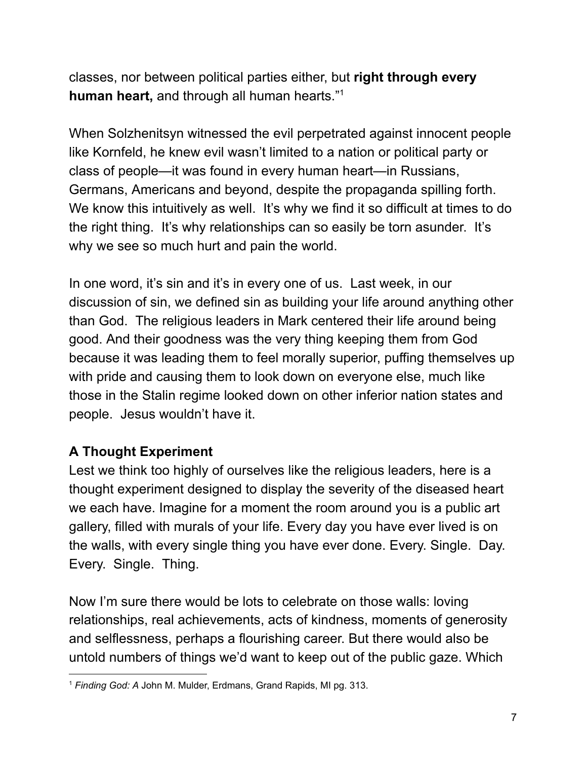classes, nor between political parties either, but **right through every human heart,** and through all human hearts." 1

When Solzhenitsyn witnessed the evil perpetrated against innocent people like Kornfeld, he knew evil wasn't limited to a nation or political party or class of people—it was found in every human heart—in Russians, Germans, Americans and beyond, despite the propaganda spilling forth. We know this intuitively as well. It's why we find it so difficult at times to do the right thing. It's why relationships can so easily be torn asunder. It's why we see so much hurt and pain the world.

In one word, it's sin and it's in every one of us. Last week, in our discussion of sin, we defined sin as building your life around anything other than God. The religious leaders in Mark centered their life around being good. And their goodness was the very thing keeping them from God because it was leading them to feel morally superior, puffing themselves up with pride and causing them to look down on everyone else, much like those in the Stalin regime looked down on other inferior nation states and people. Jesus wouldn't have it.

# **A Thought Experiment**

Lest we think too highly of ourselves like the religious leaders, here is a thought experiment designed to display the severity of the diseased heart we each have. Imagine for a moment the room around you is a public art gallery, filled with murals of your life. Every day you have ever lived is on the walls, with every single thing you have ever done. Every. Single. Day. Every. Single. Thing.

Now I'm sure there would be lots to celebrate on those walls: loving relationships, real achievements, acts of kindness, moments of generosity and selflessness, perhaps a flourishing career. But there would also be untold numbers of things we'd want to keep out of the public gaze. Which

<sup>1</sup> *Finding God: A* John M. Mulder, Erdmans, Grand Rapids, MI pg. 313.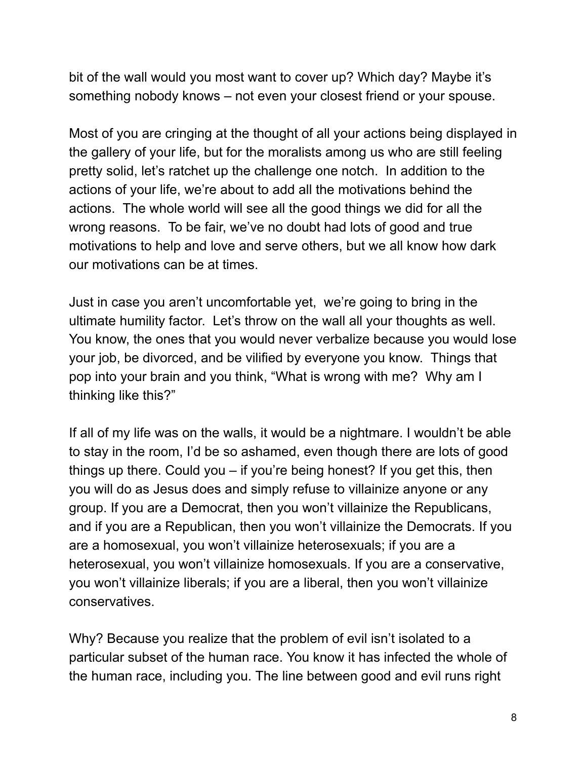bit of the wall would you most want to cover up? Which day? Maybe it's something nobody knows – not even your closest friend or your spouse.

Most of you are cringing at the thought of all your actions being displayed in the gallery of your life, but for the moralists among us who are still feeling pretty solid, let's ratchet up the challenge one notch. In addition to the actions of your life, we're about to add all the motivations behind the actions. The whole world will see all the good things we did for all the wrong reasons. To be fair, we've no doubt had lots of good and true motivations to help and love and serve others, but we all know how dark our motivations can be at times.

Just in case you aren't uncomfortable yet, we're going to bring in the ultimate humility factor. Let's throw on the wall all your thoughts as well. You know, the ones that you would never verbalize because you would lose your job, be divorced, and be vilified by everyone you know. Things that pop into your brain and you think, "What is wrong with me? Why am I thinking like this?"

If all of my life was on the walls, it would be a nightmare. I wouldn't be able to stay in the room, I'd be so ashamed, even though there are lots of good things up there. Could you – if you're being honest? If you get this, then you will do as Jesus does and simply refuse to villainize anyone or any group. If you are a Democrat, then you won't villainize the Republicans, and if you are a Republican, then you won't villainize the Democrats. If you are a homosexual, you won't villainize heterosexuals; if you are a heterosexual, you won't villainize homosexuals. If you are a conservative, you won't villainize liberals; if you are a liberal, then you won't villainize conservatives.

Why? Because you realize that the problem of evil isn't isolated to a particular subset of the human race. You know it has infected the whole of the human race, including you. The line between good and evil runs right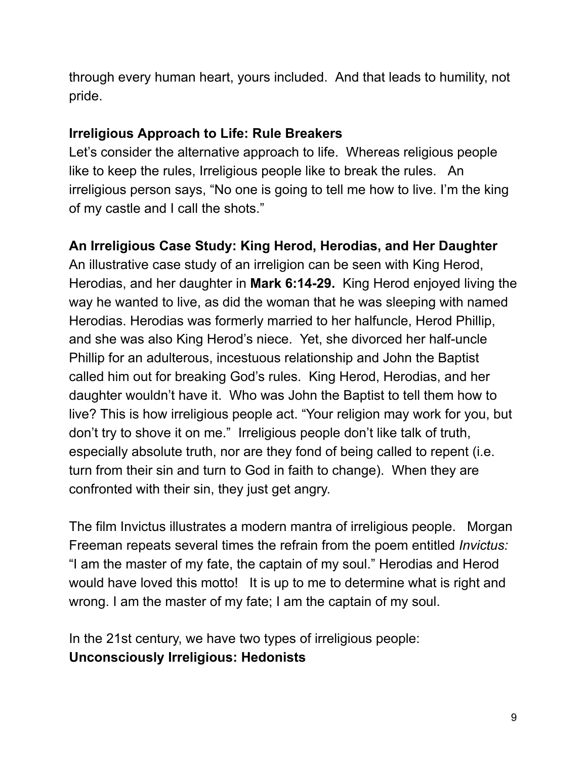through every human heart, yours included. And that leads to humility, not pride.

## **Irreligious Approach to Life: Rule Breakers**

Let's consider the alternative approach to life. Whereas religious people like to keep the rules, Irreligious people like to break the rules. An irreligious person says, "No one is going to tell me how to live. I'm the king of my castle and I call the shots."

# **An Irreligious Case Study: King Herod, Herodias, and Her Daughter**

An illustrative case study of an irreligion can be seen with King Herod, Herodias, and her daughter in **Mark 6:14-29.** King Herod enjoyed living the way he wanted to live, as did the woman that he was sleeping with named Herodias. Herodias was formerly married to her halfuncle, Herod Phillip, and she was also King Herod's niece. Yet, she divorced her half-uncle Phillip for an adulterous, incestuous relationship and John the Baptist called him out for breaking God's rules. King Herod, Herodias, and her daughter wouldn't have it. Who was John the Baptist to tell them how to live? This is how irreligious people act. "Your religion may work for you, but don't try to shove it on me." Irreligious people don't like talk of truth, especially absolute truth, nor are they fond of being called to repent (i.e. turn from their sin and turn to God in faith to change). When they are confronted with their sin, they just get angry.

The film Invictus illustrates a modern mantra of irreligious people. Morgan Freeman repeats several times the refrain from the poem entitled *Invictus:* "I am the master of my fate, the captain of my soul." Herodias and Herod would have loved this motto! It is up to me to determine what is right and wrong. I am the master of my fate; I am the captain of my soul.

In the 21st century, we have two types of irreligious people: **Unconsciously Irreligious: Hedonists**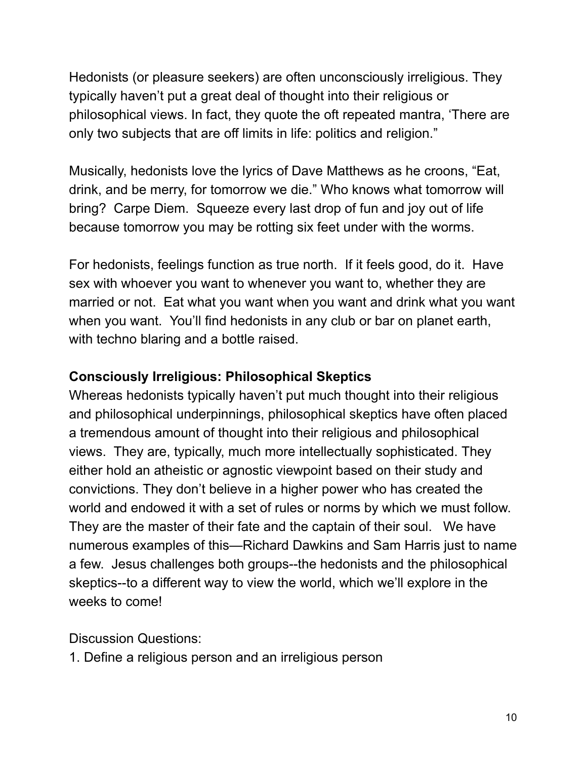Hedonists (or pleasure seekers) are often unconsciously irreligious. They typically haven't put a great deal of thought into their religious or philosophical views. In fact, they quote the oft repeated mantra, 'There are only two subjects that are off limits in life: politics and religion."

Musically, hedonists love the lyrics of Dave Matthews as he croons, "Eat, drink, and be merry, for tomorrow we die." Who knows what tomorrow will bring? Carpe Diem. Squeeze every last drop of fun and joy out of life because tomorrow you may be rotting six feet under with the worms.

For hedonists, feelings function as true north. If it feels good, do it. Have sex with whoever you want to whenever you want to, whether they are married or not. Eat what you want when you want and drink what you want when you want. You'll find hedonists in any club or bar on planet earth, with techno blaring and a bottle raised.

# **Consciously Irreligious: Philosophical Skeptics**

Whereas hedonists typically haven't put much thought into their religious and philosophical underpinnings, philosophical skeptics have often placed a tremendous amount of thought into their religious and philosophical views. They are, typically, much more intellectually sophisticated. They either hold an atheistic or agnostic viewpoint based on their study and convictions. They don't believe in a higher power who has created the world and endowed it with a set of rules or norms by which we must follow. They are the master of their fate and the captain of their soul. We have numerous examples of this—Richard Dawkins and Sam Harris just to name a few. Jesus challenges both groups--the hedonists and the philosophical skeptics--to a different way to view the world, which we'll explore in the weeks to come!

Discussion Questions:

1. Define a religious person and an irreligious person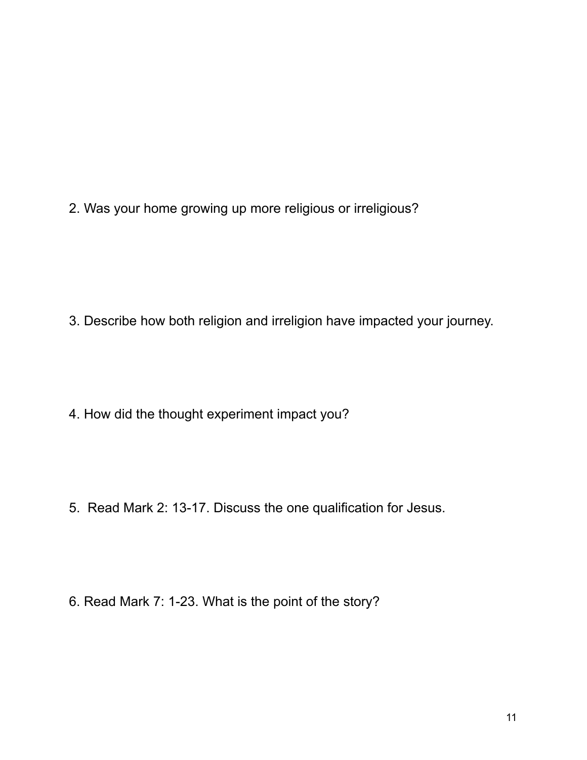2. Was your home growing up more religious or irreligious?

3. Describe how both religion and irreligion have impacted your journey.

4. How did the thought experiment impact you?

5. Read Mark 2: 13-17. Discuss the one qualification for Jesus.

6. Read Mark 7: 1-23. What is the point of the story?